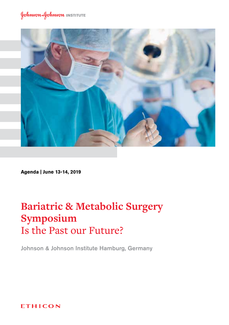

**Agenda | June 13-14, 2019**

# **Bariatric & Metabolic Surgery Symposium** Is the Past our Future?

Johnson & Johnson Institute Hamburg, Germany

**ETHICON**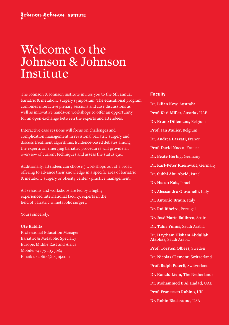# Welcome to the Johnson & Johnson Institute

The Johnson & Johnson institute invites you to the 6th annual bariatric & metabolic surgery symposium. The educational program combines interactive plenary sessions and case discussions as well as innovative hands-on workshops to offer an opportunity for an open exchange between the experts and attendees.

Interactive case sessions will focus on challenges and complication management in revisional bariatric surgery and discuss treatment algorithms. Evidence-based debates among the experts on emerging bariatric procedures will provide an overview of current techniques and assess the status quo.

Additionally, attendees can choose 3 workshops out of a broad offering to advance their knowledge in a specific area of bariatric & metabolic surgery or obesity center / practice management.

All sessions and workshops are led by a highly experienced international faculty, experts in the field of bariatric & metabolic surgery.

Yours sincerely,

#### **Ute Kablitz**

Professional Education Manager Bariatric & Metabolic Specialty Europe, Middle East and Africa Mobile: +41 79 193 3984 Email: ukablitz@its.jnj.com

#### **Faculty**

- **Dr. Lilian Kow,** Australia **Prof. Karl Miller,** Austria / UAE **Dr. Bruno Dillemans,** Belgium **Prof. Jan Mulier,** Belgium **Dr. Andrea Lazzati,** France **Prof. David Nocca,** France **Dr. Beate Herbig,** Germany **Dr. Karl-Peter Rheinwalt,** Germany **Dr. Subhi Abu Abeid,** Israel **Dr. Hasan Kais,** Israel **Dr. Alessandro Giovanelli,** Italy **Dr. Antonio Braun**, Italy **Dr. Rui Ribeiro,** Portugal **Dr. José María Balibrea,** Spain **Dr. Tahir Yunus,** Saudi Arabia **Dr. Haytham Hisham Abdullah Alabbas,** Saudi Arabia **Prof. Torsten Olbers,** Sweden **Dr. Nicolas Clement**, Switzerland **Prof. Ralph Peterli,** Switzerland **Dr. Ronald Liem,** The Netherlands
	- **Dr. Mohammed B Al Hadad,** UAE
	- **Prof. Francesco Rubino,** UK
	- **Dr. Robin Blackstone,** USA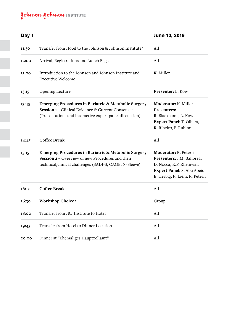| Day 1 |                                                                                                                                                                      | June 13, 2019                                                                                                                                   |
|-------|----------------------------------------------------------------------------------------------------------------------------------------------------------------------|-------------------------------------------------------------------------------------------------------------------------------------------------|
| 11:30 | Transfer from Hotel to the Johnson & Johnson Institute*                                                                                                              | A11                                                                                                                                             |
| 12:00 | Arrival, Registrations and Lunch Bags                                                                                                                                | A11                                                                                                                                             |
| 13:00 | Introduction to the Johnson and Johnson Institute and<br><b>Executive Welcome</b>                                                                                    | K. Miller                                                                                                                                       |
| 13:15 | Opening Lecture                                                                                                                                                      | Presenter: L. Kow                                                                                                                               |
| 13:45 | Emerging Procedures in Bariatric & Metabolic Surgery<br>Session 1 - Clinical Evidence & Current Consensus<br>(Presentations and interactive expert panel discussion) | Moderator: K. Miller<br>Presenters:<br>R. Blackstone, L. Kow<br>Expert Panel: T. Olbers,<br>R. Ribeiro, F. Rubino                               |
| 14:45 | <b>Coffee Break</b>                                                                                                                                                  | A11                                                                                                                                             |
| 15:15 | Emerging Procedures in Bariatric & Metabolic Surgery<br>Session 2 – Overview of new Procedures and their<br>technical/clinical challenges (SADI-S, OAGB, N-Sleeve)   | Moderator: R. Peterli<br>Presenters: J.M. Balibrea,<br>D. Nocca, K.P. Rheinwalt<br>Expert Panel: S. Abu Abeid<br>B. Herbig, R. Liem, R. Peterli |
| 16:15 | Coffee Break                                                                                                                                                         | All                                                                                                                                             |
| 16:30 | Workshop Choice 1                                                                                                                                                    | Group                                                                                                                                           |
| 18:00 | Transfer from J&J Institute to Hotel                                                                                                                                 | A11                                                                                                                                             |
| 19:45 | Transfer from Hotel to Dinner Location                                                                                                                               | A11                                                                                                                                             |
| 20:00 | Dinner at "Ehemaliges Hauptzollamt"                                                                                                                                  | All                                                                                                                                             |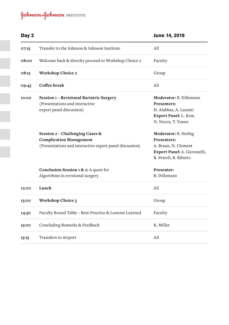| Day 2 |                                                                                                                              | June 14, 2019                                                                                                         |
|-------|------------------------------------------------------------------------------------------------------------------------------|-----------------------------------------------------------------------------------------------------------------------|
| 07:15 | Transfer to the Johnson & Johnson Institute                                                                                  | A11                                                                                                                   |
| 08:00 | Welcome back & directty proceed to Workshop Choice 2                                                                         | Faculty                                                                                                               |
| 08:15 | Workshop Choice 2                                                                                                            | Group                                                                                                                 |
| 09:45 | Coffee break                                                                                                                 | A11                                                                                                                   |
| 10:00 | Session 1 - Revisional Bariatric Surgery<br>(Presentations and interactive<br>expert panel discussion)                       | Moderator: B. Dillemans<br>Presenters:<br>H. Alabbas, A. Lazzati<br>Expert Panel: L. Kow,<br>N. Nocca, T. Yunus       |
|       | Session 2 - Challenging Cases &<br><b>Complication Management</b><br>(Presentations and interactive expert panel discussion) | Moderator: B. Herbig<br>Presenters:<br>A. Braun, N. Clement<br>Expert Panel: A. Giovanelli,<br>R. Peterli, R. Ribeiro |
|       | <b>Conclusion Session 1 &amp; 2:</b> A quest for<br>Algorithms in revisional surgery                                         | Presenter:<br><b>B.</b> Dillemans                                                                                     |
| 12:00 | Lunch                                                                                                                        | A11                                                                                                                   |
| 13:00 | Workshop Choice 3                                                                                                            | Group                                                                                                                 |
| 14:30 | Faculty Round Table - Best-Practice & Lessons Learned                                                                        | Faculty                                                                                                               |
| 15:00 | Concluding Remarks & Feedback                                                                                                | K. Miller                                                                                                             |
| 15:15 | Transfers to Airport                                                                                                         | A11                                                                                                                   |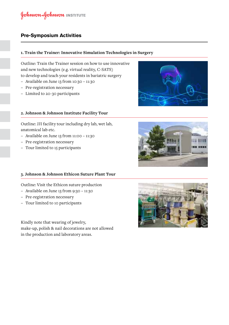## **Pre-Symposium Activities**

## **1. Train the Trainer: Innovative Simulation Technologies in Surgery**

Outline: Train the Trainer session on how to use innovative and new technologies (e.g. virtual reality, C-SATS) to develop and teach your residents in bariatric surgery

- − Available on June 13 from 10:30 11:30
- − Pre-registration necessary
- − Limited to 20-30 participants

## **2. Johnson & Johnson Institute Facility Tour**

Outline: JJI facility tour including dry lab, wet lab, anatomical lab etc.

- − Available on June 13 from 11:00 11:30
- − Pre-registration necessary
- − Tour limited to 15 participants





### **3. Johnson & Johnson Ethicon Suture Plant Tour**

Outline: Visit the Ethicon suture production

- − Available on June 13 from 9:30 11:30
- − Pre-registration necessary
- − Tour limited to 10 participants

Kindly note that wearing of jewelry, make-up, polish & nail decorations are not allowed in the production and laboratory areas.

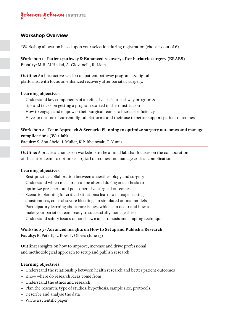## **Workshop Overview**

\*Workshop allocation based upon your selection during registration (choose 3 out of 6)

**Workshop 1 - Patient pathway & Enhanced recovery after bariatric surgery (ERABS) Faculty**: M.B. Al Hadad, A. Giovanelli, R. Liem

**Outline:** An interactive session on patient pathway programs & digital platforms, with focus on enhanced recovery after bariatric surgery.

## **Learning objectives:**

- − Understand key components of an effective patient pathway program & tips and tricks on getting a program started in their institution
- − How to engage and empower their surgical teams to increase efficiency
- − Have an outline of current digital platforms and their use to better support patient outcomes

## **Workshop 2 - Team Approach & Scenario Planning to optimize surgery outcomes and manage complications (Wet-lab)**

**Faculty:** S. Abu Abeid, J. Mulier, K.P. Rheinwalt, T. Yunus

**Outline:** A practical, hands-on workshop in the animal lab that focuses on the collaboration of the entire team to optimize surgical outcomes and manage critical complications

### **Learning objectives:**

- − Best-practice collaboration between anaesthesiology and surgery
- − Understand which measures can be altered during anaesthesia to optimize pre-, peri- and post-operative surgical outcomes
- − Scenario planning for critical situations: learn to manage leaking anastomoses, control severe bleedings in simulated animal models
- − Participatory learning about rare issues, which can occur and how to make your bariatric team ready to successfully manage these
- − Understand safety issues of hand sewn anastomosis and stapling technique

## **Workshop 3 - Advanced insights on How to Setup and Publish a Research Faculty:** R. Peterli, L. Kow, T. Olbers (June 13)

**Outline:** Insights on how to improve, increase and drive professional and methodological approach to setup and publish research

### **Learning objectives:**

- − Understand the relationship between health research and better patient outcomes
- − Know where do research ideas come from
- − Understand the ethics and research
- − Plan the research: type of studies, hypothesis, sample size, protocols.
- − Describe and analyse the data
- − Write a scientific paper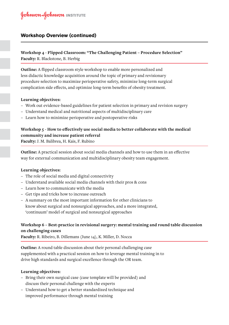## **Workshop Overview (continued)**

## **Workshop 4 - Flipped Classroom: "The Challenging Patient – Procedure Selection" Faculty:** R. Blackstone, B. Herbig

**Outline:** A flipped classroom style workshop to enable more personalized and less didactic knowledge acquisition around the topic of primary and revisionary procedure selection to maximize perioperative safety, minimize long-term surgical complication side effects, and optimize long-term benefits of obesity treatment.

## **Learning objectives:**

- − Work out evidence-based guidelines for patient selection in primary and revision surgery
- − Understand medical and nutritional aspects of multidisciplinary care
- − Learn how to minimize perioperative and postoperative risks

## **Workshop 5 - How to effectively use social media to better collaborate with the medical community and increase patient referral**

**Faculty:** J. M. Balibrea, H. Kais, F. Rubino

**Outline:** A practical session about social media channels and how to use them in an effective way for external communication and multidisciplinary obesity team engagement.

## **Learning objectives:**

- − The role of social media and digital connectivity
- − Understand available social media channels with their pros & cons
- − Learn how to communicate with the media
- − Get tips and tricks how to increase outreach
- − A summary on the most important information for other clinicians to know about surgical and nonsurgical approaches, and a more integrated, 'continuum' model of surgical and nonsurgical approaches

## **Workshop 6 – Best-practice in revisional surgery: mental training and round table discussion on challenging cases**

**Faculty:** R. Ribeiro, B. Dillemans (June 14), K. Miller, D. Nocca

**Outline:** A round table discussion about their personal challenging case supplemented with a practical session on how to leverage mental training in to drive high standards and surgical excellence through the OR team.

### **Learning objectives:**

- − Bring their own surgical case (case template will be provided) and discuss their personal challenge with the experts
- − Understand how to get a better standardized technique and improved performance through mental training